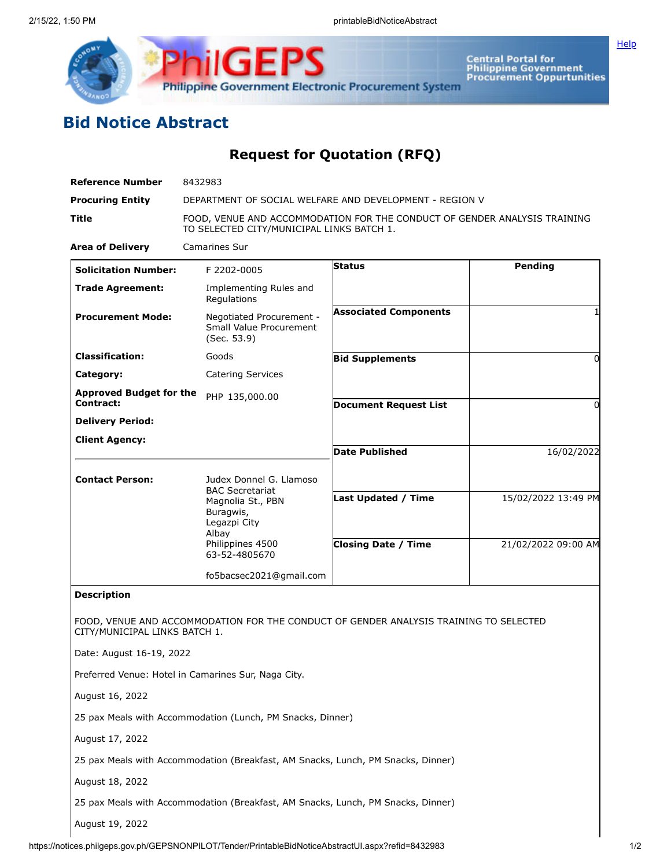



**Central Portal for<br>Philippine Government<br>Procurement Oppurtunities** 

## **Bid Notice Abstract**

**Request for Quotation (RFQ)**

| <b>Reference Number</b>                            | 8432983                                                                                                      |                                                                                       |                     |  |
|----------------------------------------------------|--------------------------------------------------------------------------------------------------------------|---------------------------------------------------------------------------------------|---------------------|--|
| <b>Procuring Entity</b>                            | DEPARTMENT OF SOCIAL WELFARE AND DEVELOPMENT - REGION V                                                      |                                                                                       |                     |  |
| <b>Title</b>                                       | TO SELECTED CITY/MUNICIPAL LINKS BATCH 1.                                                                    | FOOD, VENUE AND ACCOMMODATION FOR THE CONDUCT OF GENDER ANALYSIS TRAINING             |                     |  |
| <b>Area of Delivery</b>                            | <b>Camarines Sur</b>                                                                                         |                                                                                       |                     |  |
| <b>Solicitation Number:</b>                        | F 2202-0005                                                                                                  | Status                                                                                | <b>Pending</b>      |  |
| <b>Trade Agreement:</b>                            | Implementing Rules and<br>Regulations                                                                        |                                                                                       |                     |  |
| <b>Procurement Mode:</b>                           | Negotiated Procurement -<br>Small Value Procurement<br>(Sec. 53.9)                                           | <b>Associated Components</b>                                                          |                     |  |
| <b>Classification:</b>                             | Goods                                                                                                        | <b>Bid Supplements</b>                                                                | $\Omega$            |  |
| Category:                                          | <b>Catering Services</b>                                                                                     |                                                                                       |                     |  |
| <b>Approved Budget for the</b><br><b>Contract:</b> | PHP 135,000.00                                                                                               |                                                                                       |                     |  |
| <b>Delivery Period:</b>                            |                                                                                                              | <b>Document Request List</b>                                                          | 0                   |  |
| <b>Client Agency:</b>                              |                                                                                                              |                                                                                       |                     |  |
|                                                    |                                                                                                              | <b>Date Published</b>                                                                 | 16/02/2022          |  |
| <b>Contact Person:</b>                             | Judex Donnel G. Llamoso<br><b>BAC Secretariat</b><br>Magnolia St., PBN<br>Buragwis,<br>Legazpi City<br>Albay | <b>Last Updated / Time</b>                                                            | 15/02/2022 13:49 PM |  |
|                                                    | Philippines 4500<br>63-52-4805670                                                                            | <b>Closing Date / Time</b>                                                            | 21/02/2022 09:00 AM |  |
|                                                    | fo5bacsec2021@gmail.com                                                                                      |                                                                                       |                     |  |
| <b>Description</b>                                 |                                                                                                              |                                                                                       |                     |  |
| CITY/MUNICIPAL LINKS BATCH 1.                      |                                                                                                              | FOOD, VENUE AND ACCOMMODATION FOR THE CONDUCT OF GENDER ANALYSIS TRAINING TO SELECTED |                     |  |
| Date: August 16-19, 2022                           |                                                                                                              |                                                                                       |                     |  |
|                                                    | Preferred Venue: Hotel in Camarines Sur, Naga City.                                                          |                                                                                       |                     |  |
| August 16, 2022                                    |                                                                                                              |                                                                                       |                     |  |
|                                                    | 25 pax Meals with Accommodation (Lunch, PM Snacks, Dinner)                                                   |                                                                                       |                     |  |
| August 17, 2022                                    |                                                                                                              |                                                                                       |                     |  |
|                                                    | 25 pax Meals with Accommodation (Breakfast, AM Snacks, Lunch, PM Snacks, Dinner)                             |                                                                                       |                     |  |
| August 18, 2022                                    |                                                                                                              |                                                                                       |                     |  |
|                                                    | 25 pax Meals with Accommodation (Breakfast, AM Snacks, Lunch, PM Snacks, Dinner)                             |                                                                                       |                     |  |
| August 19, 2022                                    |                                                                                                              |                                                                                       |                     |  |